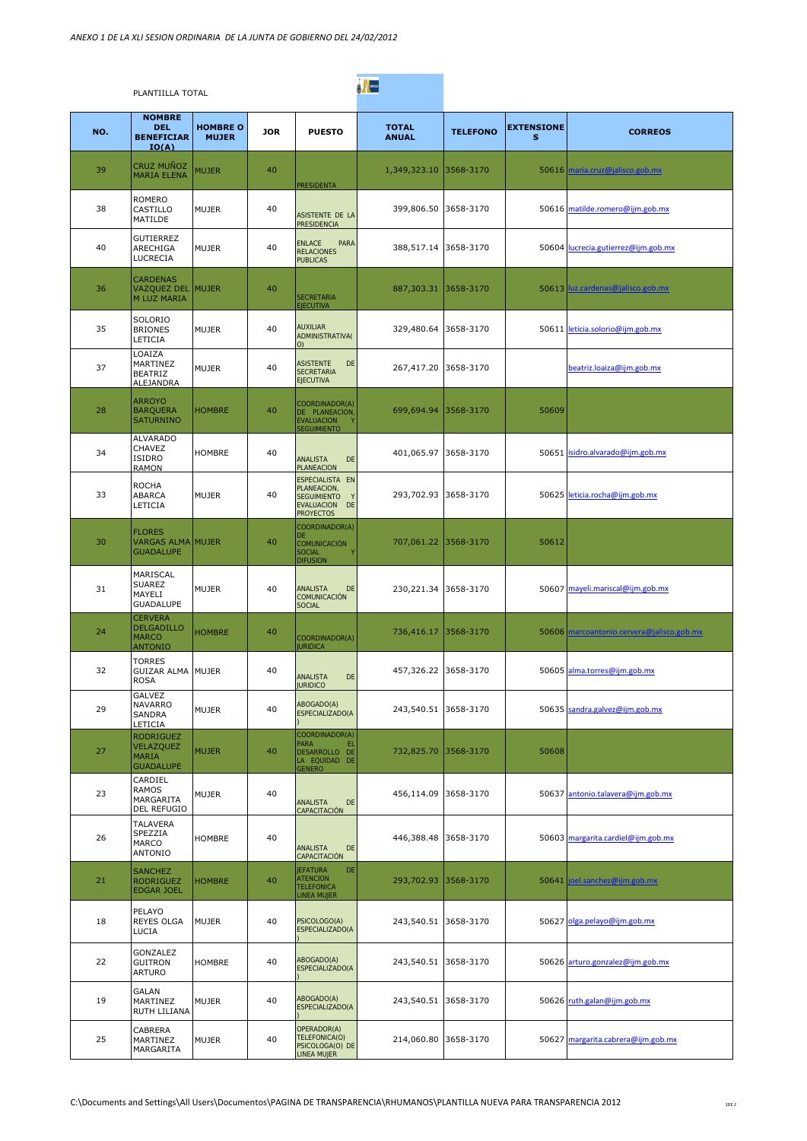|     | PLANTIILLA TOTAL                                                      |                                 |            |                                                                                              | <b>A</b>                     |                 |                        |                                           |
|-----|-----------------------------------------------------------------------|---------------------------------|------------|----------------------------------------------------------------------------------------------|------------------------------|-----------------|------------------------|-------------------------------------------|
| NO. | <b>NOMBRE</b><br><b>DEL</b><br><b>BENEFICIAR</b><br>IO(A)             | <b>HOMBRE O</b><br><b>MUJER</b> | <b>JOR</b> | <b>PUESTO</b>                                                                                | <b>TOTAL</b><br><b>ANUAL</b> | <b>TELEFONO</b> | <b>EXTENSIONE</b><br>s | <b>CORREOS</b>                            |
| 39  | CRUZ MUÑOZ<br><b>MARIA ELENA</b>                                      | <b>MUJER</b>                    | 40         | <b>PRESIDENTA</b>                                                                            | 1,349,323.10                 | 3568-3170       |                        | 50616 maria.cruz@jalisco.gob.mx           |
| 38  | <b>ROMERO</b><br>CASTILLO<br>MATILDE                                  | <b>MUJER</b>                    | 40         | ASISTENTE DE LA<br><b>PRESIDENCIA</b>                                                        | 399,806.50                   | 3658-3170       |                        | 50616 matilde.romero@ijm.gob.mx           |
| 40  | <b>GUTIERREZ</b><br>ARECHIGA<br>LUCRECIA                              | <b>MUJER</b>                    | 40         | <b>ENLACE</b><br>PARA<br><b>RELACIONES</b><br><b>PUBLICAS</b>                                | 388,517.14                   | 3658-3170       |                        | 50604 lucrecia.gutierrez@iim.gob.mx       |
| 36  | <b>CARDENAS</b><br>VAZQUEZ DEL MUJER<br>M LUZ MARIA                   |                                 | 40         | <b>SECRETARIA</b><br><b>EJECUTIVA</b>                                                        | 887,303.31                   | 3658-3170       |                        | 50613 luz.cardenas@jalisco.gob.mx         |
| 35  | SOLORIO<br><b>BRIONES</b><br>LETICIA                                  | <b>MUJER</b>                    | 40         | <b>AUXILIAR</b><br><b>ADMINISTRATIVA(</b><br>O)                                              | 329,480.64                   | 3658-3170       |                        | 50611 leticia.solorio@ijm.gob.mx          |
| 37  | LOAIZA<br>MARTINEZ<br><b>BEATRIZ</b><br>ALEJANDRA                     | <b>MUJER</b>                    | 40         | <b>ASISTENTE</b><br>DE<br><b>SECRETARIA</b><br><b>EJECUTIVA</b>                              | 267,417.20                   | 3658-3170       |                        | beatriz.loaiza@ijm.gob.mx                 |
| 28  | <b>ARROYO</b><br><b>BARQUERA</b><br><b>SATURNINO</b>                  | <b>HOMBRE</b>                   | 40         | COORDINADOR(A)<br>DE PLANEACION<br><b>EVALUACION</b><br><b>SEGUIMIENTO</b>                   | 699,694.94                   | 3568-3170       | 50609                  |                                           |
| 34  | <b>ALVARADO</b><br>CHAVEZ<br>ISIDRO<br><b>RAMON</b>                   | <b>HOMBRE</b>                   | 40         | <b>ANALISTA</b><br>DE<br><b>PLANEACION</b>                                                   | 401,065.97                   | 3658-3170       |                        | 50651 isidro.alvarado@ijm.gob.mx          |
| 33  | <b>ROCHA</b><br>ABARCA<br>LETICIA                                     | <b>MUJER</b>                    | 40         | ESPECIALISTA EN<br>PLANEACION,<br><b>SEGUIMIENTO</b><br>EVALUACION<br>DE<br><b>PROYECTOS</b> | 293,702.93                   | 3658-3170       |                        | 50625 leticia.rocha@ijm.gob.mx            |
| 30  | <b>FLORES</b><br><b>VARGAS ALMA MUJER</b><br><b>GUADALUPE</b>         |                                 | 40         | COORDINADOR(A)<br>DE<br>COMUNICACIÓN<br><b>SOCIAL</b><br><b>DIFUSION</b>                     | 707,061.22                   | 3568-3170       | 50612                  |                                           |
| 31  | MARISCAL<br>SUAREZ<br>MAYELI<br><b>GUADALUPE</b>                      | MUJER                           | 40         | <b>ANALISTA</b><br>DE<br>COMUNICACIÓN<br><b>SOCIAL</b>                                       | 230,221.34                   | 3658-3170       |                        | 50607 mayeli.mariscal@ijm.gob.mx          |
| 24  | <b>CERVERA</b><br><b>DELGADILLO</b><br><b>MARCO</b><br><b>ANTONIO</b> | <b>HOMBRE</b>                   | 40         | COORDINADOR(A)<br><b>JURIDICA</b>                                                            | 736,416.17                   | 3568-3170       |                        | 50606 marcoantonio.cervera@jalisco.gob.mx |
| 32  | <b>TORRES</b><br>GUIZAR ALMA MUJER<br><b>ROSA</b>                     |                                 | 40         | <b>ANALISTA</b><br>DE<br><b>JURIDICO</b>                                                     | 457,326.22 3658-3170         |                 |                        | 50605 alma.torres@ijm.gob.mx              |
| 29  | GALVEZ<br><b>NAVARRO</b><br><b>SANDRA</b><br>LETICIA                  | <b>MUJER</b>                    | 40         | ABOGADO(A)<br>ESPECIALIZADO(A                                                                | 243,540.51                   | 3658-3170       |                        | 50635 sandra.galvez@jim.gob.mx            |
| 27  | <b>RODRIGUEZ</b><br>VELAZQUEZ<br><b>MARIA</b><br><b>GUADALUPE</b>     | <b>MUJER</b>                    | 40         | COORDINADOR(A)<br><b>PARA</b><br>EL<br>DESARROLLO DE<br>LA EQUIDAD DE<br><b>GENERO</b>       | 732,825.70                   | 3568-3170       | 50608                  |                                           |
| 23  | CARDIEL<br><b>RAMOS</b><br>MARGARITA<br>DEL REFUGIO                   | <b>MUJER</b>                    | 40         | <b>ANALISTA</b><br>DE<br>CAPACITACIÓN                                                        | 456,114.09                   | 3658-3170       |                        | 50637 antonio.talavera@ijm.gob.mx         |
| 26  | TALAVERA<br>SPEZZIA<br><b>MARCO</b><br><b>ANTONIO</b>                 | <b>HOMBRE</b>                   | 40         | <b>ANALISTA</b><br>DE<br>CAPACITACIÓN                                                        | 446,388.48                   | 3658-3170       |                        | 50603 margarita.cardiel@ijm.gob.mx        |
| 21  | <b>SANCHEZ</b><br><b>RODRIGUEZ</b><br><b>EDGAR JOEL</b>               | <b>HOMBRE</b>                   | 40         | <b>JEFATURA</b><br>DE<br><b>ATENCION</b><br><b>TELEFONICA</b><br><b>LINEA MUJER</b>          | 293,702.93                   | 3568-3170       |                        | 50641 joel.sanchez@ijm.gob.mx             |
| 18  | PELAYO<br><b>REYES OLGA</b><br>LUCIA                                  | <b>MUJER</b>                    | 40         | PSICOLOGO(A)<br>ESPECIALIZADO(A                                                              | 243,540.51                   | 3658-3170       |                        | 50627 olga.pelayo@ijm.gob.mx              |
| 22  | GONZALEZ<br><b>GUITRON</b><br><b>ARTURO</b>                           | <b>HOMBRE</b>                   | 40         | ABOGADO(A)<br>ESPECIALIZADO(A                                                                | 243,540.51                   | 3658-3170       |                        | 50626 arturo.gonzalez@ijm.gob.mx          |
| 19  | <b>GALAN</b><br>MARTINEZ<br>RUTH LILIANA                              | <b>MUJER</b>                    | 40         | ABOGADO(A)<br>ESPECIALIZADO(A                                                                | 243,540.51                   | 3658-3170       |                        | 50626 ruth.galan@ijm.gob.mx               |
| 25  | CABRERA<br>MARTINEZ<br>MARGARITA                                      | <b>MUJER</b>                    | 40         | OPERADOR(A)<br>TELEFONICA(O)<br>PSICOLOGA(O) DE<br>LINEA MUJER                               | 214,060.80                   | 3658-3170       |                        | 50627 margarita.cabrera@ijm.gob.mx        |